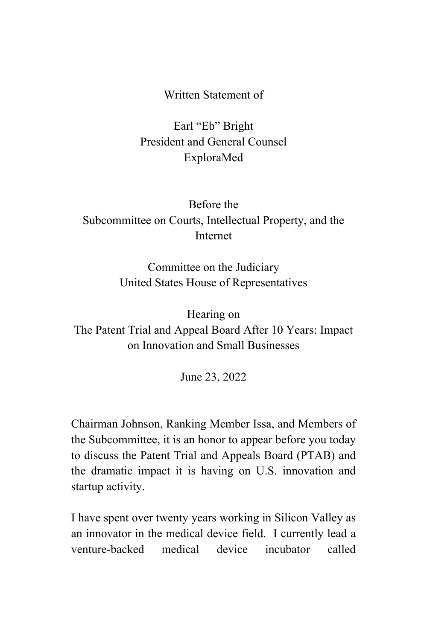Written Statement of

Earl "Eb" Bright President and General Counsel ExploraMed

## Before the Subcommittee on Courts, Intellectual Property, and the Internet

Committee on the Judiciary United States House of Representatives

Hearing on The Patent Trial and Appeal Board After 10 Years: Impact on Innovation and Small Businesses

June 23, 2022

Chairman Johnson, Ranking Member Issa, and Members of the Subcommittee, it is an honor to appear before you today to discuss the Patent Trial and Appeals Board (PTAB) and the dramatic impact it is having on U.S. innovation and startup activity.

I have spent over twenty years working in Silicon Valley as an innovator in the medical device field. I currently lead a venture-backed medical device incubator called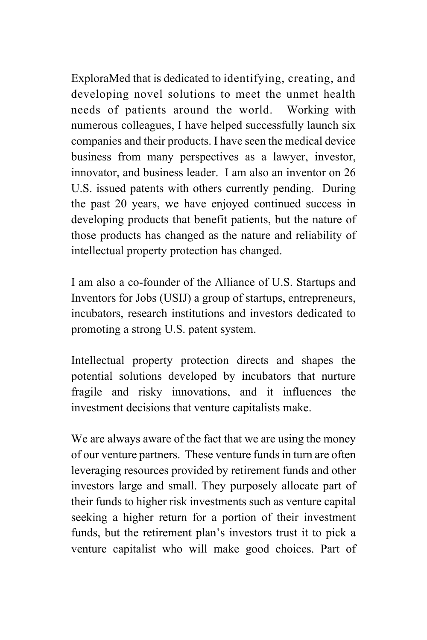ExploraMed that is dedicated to identifying, creating, and developing novel solutions to meet the unmet health needs of patients around the world. Working with numerous colleagues, I have helped successfully launch six companies and their products. I have seen the medical device business from many perspectives as a lawyer, investor, innovator, and business leader. I am also an inventor on 26 U.S. issued patents with others currently pending. During the past 20 years, we have enjoyed continued success in developing products that benefit patients, but the nature of those products has changed as the nature and reliability of intellectual property protection has changed.

I am also a co-founder of the Alliance of U.S. Startups and Inventors for Jobs (USIJ) a group of startups, entrepreneurs, incubators, research institutions and investors dedicated to promoting a strong U.S. patent system.

Intellectual property protection directs and shapes the potential solutions developed by incubators that nurture fragile and risky innovations, and it influences the investment decisions that venture capitalists make.

We are always aware of the fact that we are using the money of our venture partners. These venture funds in turn are often leveraging resources provided by retirement funds and other investors large and small. They purposely allocate part of their funds to higher risk investments such as venture capital seeking a higher return for a portion of their investment funds, but the retirement plan's investors trust it to pick a venture capitalist who will make good choices. Part of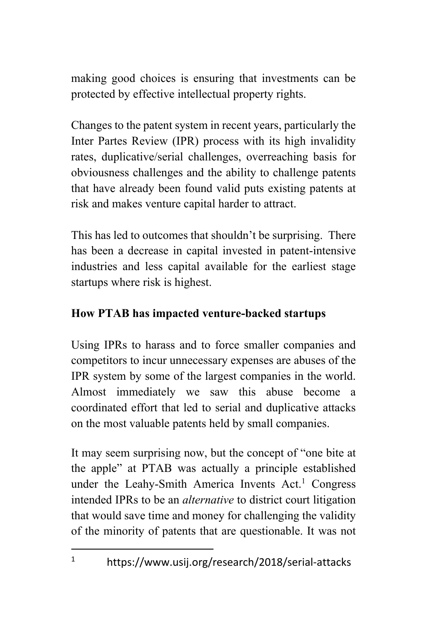making good choices is ensuring that investments can be protected by effective intellectual property rights.

Changes to the patent system in recent years, particularly the Inter Partes Review (IPR) process with its high invalidity rates, duplicative/serial challenges, overreaching basis for obviousness challenges and the ability to challenge patents that have already been found valid puts existing patents at risk and makes venture capital harder to attract.

This has led to outcomes that shouldn't be surprising. There has been a decrease in capital invested in patent-intensive industries and less capital available for the earliest stage startups where risk is highest.

## **How PTAB has impacted venture-backed startups**

Using IPRs to harass and to force smaller companies and competitors to incur unnecessary expenses are abuses of the IPR system by some of the largest companies in the world. Almost immediately we saw this abuse become a coordinated effort that led to serial and duplicative attacks on the most valuable patents held by small companies.

It may seem surprising now, but the concept of "one bite at the apple" at PTAB was actually a principle established under the Leahy-Smith America Invents  $Act<sup>1</sup>$  Congress intended IPRs to be an *alternative* to district court litigation that would save time and money for challenging the validity of the minority of patents that are questionable. It was not

<sup>&</sup>lt;sup>1</sup> https://www.usij.org/research/2018/serial-attacks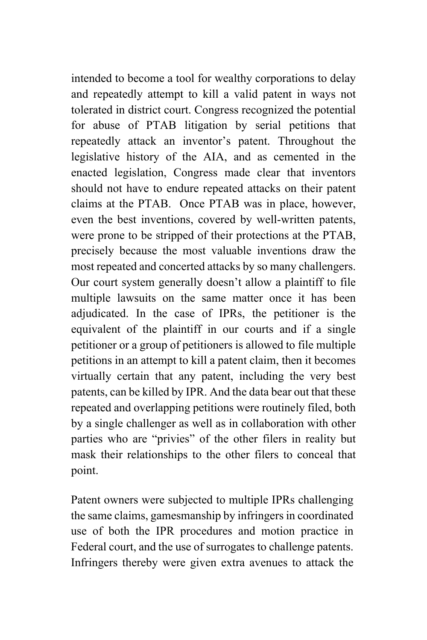intended to become a tool for wealthy corporations to delay and repeatedly attempt to kill a valid patent in ways not tolerated in district court. Congress recognized the potential for abuse of PTAB litigation by serial petitions that repeatedly attack an inventor's patent. Throughout the legislative history of the AIA, and as cemented in the enacted legislation, Congress made clear that inventors should not have to endure repeated attacks on their patent claims at the PTAB. Once PTAB was in place, however, even the best inventions, covered by well-written patents, were prone to be stripped of their protections at the PTAB, precisely because the most valuable inventions draw the most repeated and concerted attacks by so many challengers. Our court system generally doesn't allow a plaintiff to file multiple lawsuits on the same matter once it has been adjudicated. In the case of IPRs, the petitioner is the equivalent of the plaintiff in our courts and if a single petitioner or a group of petitioners is allowed to file multiple petitions in an attempt to kill a patent claim, then it becomes virtually certain that any patent, including the very best patents, can be killed by IPR. And the data bear out that these repeated and overlapping petitions were routinely filed, both by a single challenger as well as in collaboration with other parties who are "privies" of the other filers in reality but mask their relationships to the other filers to conceal that point.

Patent owners were subjected to multiple IPRs challenging the same claims, gamesmanship by infringers in coordinated use of both the IPR procedures and motion practice in Federal court, and the use of surrogates to challenge patents. Infringers thereby were given extra avenues to attack the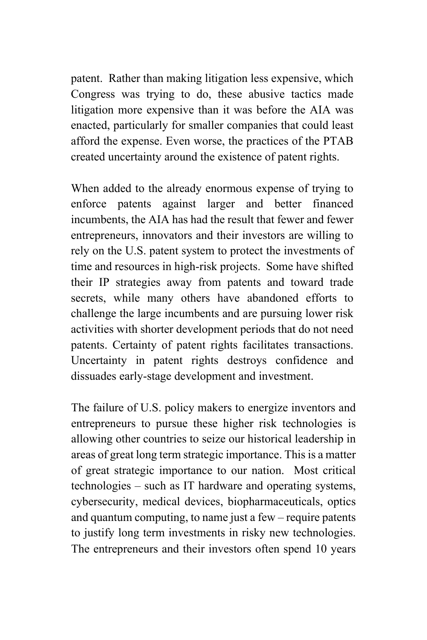patent. Rather than making litigation less expensive, which Congress was trying to do, these abusive tactics made litigation more expensive than it was before the AIA was enacted, particularly for smaller companies that could least afford the expense. Even worse, the practices of the PTAB created uncertainty around the existence of patent rights.

When added to the already enormous expense of trying to enforce patents against larger and better financed incumbents, the AIA has had the result that fewer and fewer entrepreneurs, innovators and their investors are willing to rely on the U.S. patent system to protect the investments of time and resources in high-risk projects. Some have shifted their IP strategies away from patents and toward trade secrets, while many others have abandoned efforts to challenge the large incumbents and are pursuing lower risk activities with shorter development periods that do not need patents. Certainty of patent rights facilitates transactions. Uncertainty in patent rights destroys confidence and dissuades early-stage development and investment.

The failure of U.S. policy makers to energize inventors and entrepreneurs to pursue these higher risk technologies is allowing other countries to seize our historical leadership in areas of great long term strategic importance. This is a matter of great strategic importance to our nation. Most critical technologies – such as IT hardware and operating systems, cybersecurity, medical devices, biopharmaceuticals, optics and quantum computing, to name just a few – require patents to justify long term investments in risky new technologies. The entrepreneurs and their investors often spend 10 years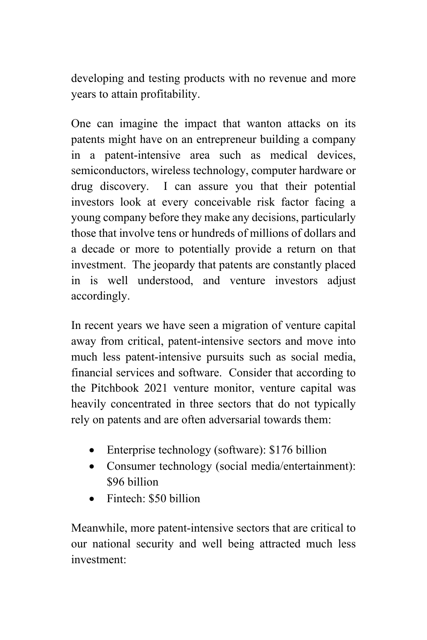developing and testing products with no revenue and more years to attain profitability.

One can imagine the impact that wanton attacks on its patents might have on an entrepreneur building a company in a patent-intensive area such as medical devices, semiconductors, wireless technology, computer hardware or drug discovery. I can assure you that their potential investors look at every conceivable risk factor facing a young company before they make any decisions, particularly those that involve tens or hundreds of millions of dollars and a decade or more to potentially provide a return on that investment. The jeopardy that patents are constantly placed in is well understood, and venture investors adjust accordingly.

In recent years we have seen a migration of venture capital away from critical, patent-intensive sectors and move into much less patent-intensive pursuits such as social media, financial services and software. Consider that according to the Pitchbook 2021 venture monitor, venture capital was heavily concentrated in three sectors that do not typically rely on patents and are often adversarial towards them:

- Enterprise technology (software): \$176 billion
- Consumer technology (social media/entertainment): \$96 billion
- Fintech: \$50 billion

Meanwhile, more patent-intensive sectors that are critical to our national security and well being attracted much less investment: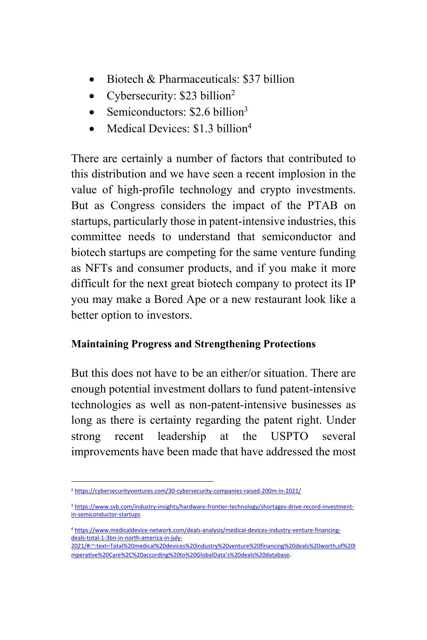- Biotech & Pharmaceuticals: \$37 billion
- Cybersecurity: \$23 billion<sup>2</sup>
- Semiconductors:  $$2.6$  billion<sup>3</sup>
- Medical Devices: \$1.3 billion<sup>4</sup>

There are certainly a number of factors that contributed to this distribution and we have seen a recent implosion in the value of high-profile technology and crypto investments. But as Congress considers the impact of the PTAB on startups, particularly those in patent-intensive industries, this committee needs to understand that semiconductor and biotech startups are competing for the same venture funding as NFTs and consumer products, and if you make it more difficult for the next great biotech company to protect its IP you may make a Bored Ape or a new restaurant look like a better option to investors.

## **Maintaining Progress and Strengthening Protections**

But this does not have to be an either/or situation. There are enough potential investment dollars to fund patent-intensive technologies as well as non-patent-intensive businesses as long as there is certainty regarding the patent right. Under strong recent leadership at the USPTO several improvements have been made that have addressed the most

<sup>2</sup> https://cybersecurityventures.com/30-cybersecurity-companies-raised-200m-in-2021/

<sup>&</sup>lt;sup>3</sup> https://www.svb.com/industry-insights/hardware-frontier-technology/shortages-drive-record-investmentin-semiconductor-startups

<sup>4</sup> https://www.medicaldevice-network.com/deals-analysis/medical-devices-industry-venture-financingdeals-total-1-3bn-in-north-america-in-july-

<sup>2021/#:~:</sup>text=Total%20medical%20devices%20industry%20venture%20financing%20deals%20worth,of%20I mperative%20Care%2C%20according%20to%20GlobalData's%20deals%20database.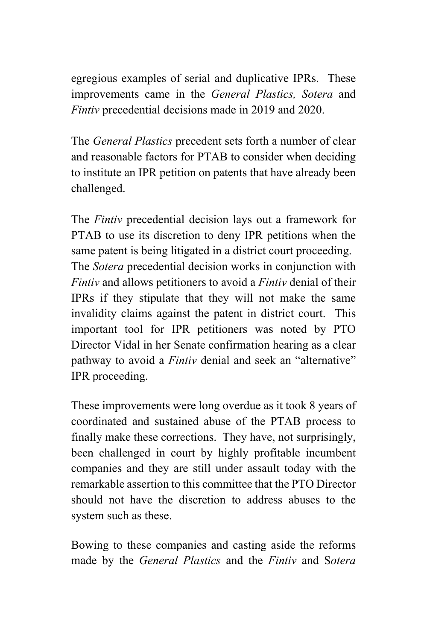egregious examples of serial and duplicative IPRs. These improvements came in the *General Plastics, Sotera* and *Fintiv* precedential decisions made in 2019 and 2020.

The *General Plastics* precedent sets forth a number of clear and reasonable factors for PTAB to consider when deciding to institute an IPR petition on patents that have already been challenged.

The *Fintiv* precedential decision lays out a framework for PTAB to use its discretion to deny IPR petitions when the same patent is being litigated in a district court proceeding. The *Sotera* precedential decision works in conjunction with *Fintiv* and allows petitioners to avoid a *Fintiv* denial of their IPRs if they stipulate that they will not make the same invalidity claims against the patent in district court. This important tool for IPR petitioners was noted by PTO Director Vidal in her Senate confirmation hearing as a clear pathway to avoid a *Fintiv* denial and seek an "alternative" IPR proceeding.

These improvements were long overdue as it took 8 years of coordinated and sustained abuse of the PTAB process to finally make these corrections. They have, not surprisingly, been challenged in court by highly profitable incumbent companies and they are still under assault today with the remarkable assertion to this committee that the PTO Director should not have the discretion to address abuses to the system such as these.

Bowing to these companies and casting aside the reforms made by the *General Plastics* and the *Fintiv* and S*otera*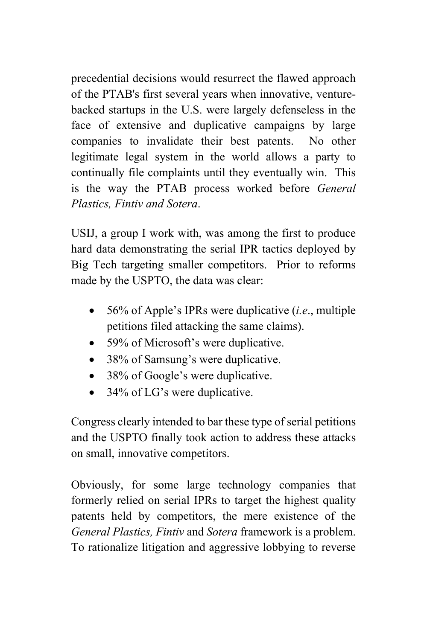precedential decisions would resurrect the flawed approach of the PTAB's first several years when innovative, venturebacked startups in the U.S. were largely defenseless in the face of extensive and duplicative campaigns by large companies to invalidate their best patents. No other legitimate legal system in the world allows a party to continually file complaints until they eventually win. This is the way the PTAB process worked before *General Plastics, Fintiv and Sotera*.

USIJ, a group I work with, was among the first to produce hard data demonstrating the serial IPR tactics deployed by Big Tech targeting smaller competitors. Prior to reforms made by the USPTO, the data was clear:

- 56% of Apple's IPRs were duplicative (*i.e*., multiple petitions filed attacking the same claims).
- 59% of Microsoft's were duplicative.
- 38% of Samsung's were duplicative.
- 38% of Google's were duplicative.
- 34% of LG's were duplicative.

Congress clearly intended to bar these type of serial petitions and the USPTO finally took action to address these attacks on small, innovative competitors.

Obviously, for some large technology companies that formerly relied on serial IPRs to target the highest quality patents held by competitors, the mere existence of the *General Plastics, Fintiv* and *Sotera* framework is a problem. To rationalize litigation and aggressive lobbying to reverse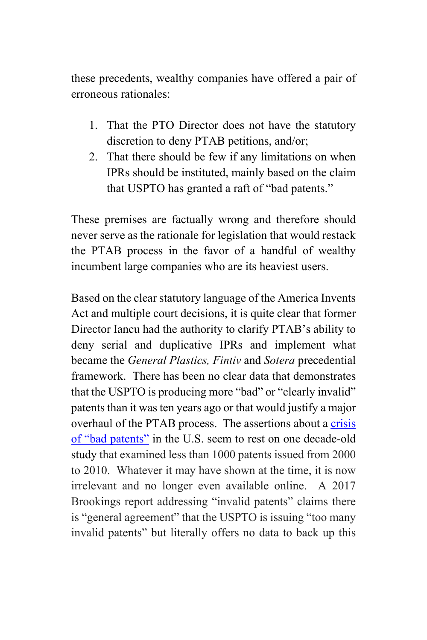these precedents, wealthy companies have offered a pair of erroneous rationales:

- 1. That the PTO Director does not have the statutory discretion to deny PTAB petitions, and/or;
- 2. That there should be few if any limitations on when IPRs should be instituted, mainly based on the claim that USPTO has granted a raft of "bad patents."

These premises are factually wrong and therefore should never serve as the rationale for legislation that would restack the PTAB process in the favor of a handful of wealthy incumbent large companies who are its heaviest users.

Based on the clear statutory language of the America Invents Act and multiple court decisions, it is quite clear that former Director Iancu had the authority to clarify PTAB's ability to deny serial and duplicative IPRs and implement what became the *General Plastics, Fintiv* and *Sotera* precedential framework. There has been no clear data that demonstrates that the USPTO is producing more "bad" or "clearly invalid" patents than it was ten years ago or that would justify a major overhaul of the PTAB process. The assertions about a crisis of "bad patents" in the U.S. seem to rest on one decade-old study that examined less than 1000 patents issued from 2000 to 2010. Whatever it may have shown at the time, it is now irrelevant and no longer even available online. A 2017 Brookings report addressing "invalid patents" claims there is "general agreement" that the USPTO is issuing "too many invalid patents" but literally offers no data to back up this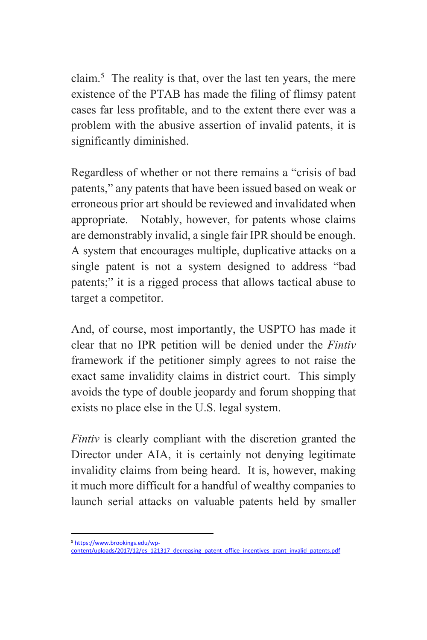claim.<sup>5</sup> The reality is that, over the last ten years, the mere existence of the PTAB has made the filing of flimsy patent cases far less profitable, and to the extent there ever was a problem with the abusive assertion of invalid patents, it is significantly diminished.

Regardless of whether or not there remains a "crisis of bad patents," any patents that have been issued based on weak or erroneous prior art should be reviewed and invalidated when appropriate. Notably, however, for patents whose claims are demonstrably invalid, a single fair IPR should be enough. A system that encourages multiple, duplicative attacks on a single patent is not a system designed to address "bad patents;" it is a rigged process that allows tactical abuse to target a competitor.

And, of course, most importantly, the USPTO has made it clear that no IPR petition will be denied under the *Fintiv* framework if the petitioner simply agrees to not raise the exact same invalidity claims in district court. This simply avoids the type of double jeopardy and forum shopping that exists no place else in the U.S. legal system.

*Fintiv* is clearly compliant with the discretion granted the Director under AIA, it is certainly not denying legitimate invalidity claims from being heard. It is, however, making it much more difficult for a handful of wealthy companies to launch serial attacks on valuable patents held by smaller

<sup>&</sup>lt;sup>5</sup> https://www.brookings.edu/wp-<br>content/uploads/2017/12/es\_121317\_decreasing\_patent\_office\_incentives\_grant\_invalid\_patents.pdf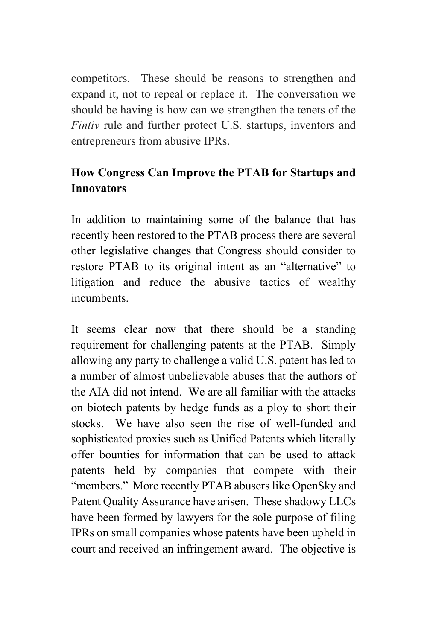competitors. These should be reasons to strengthen and expand it, not to repeal or replace it. The conversation we should be having is how can we strengthen the tenets of the *Fintiv* rule and further protect U.S. startups, inventors and entrepreneurs from abusive IPRs.

## **How Congress Can Improve the PTAB for Startups and Innovators**

In addition to maintaining some of the balance that has recently been restored to the PTAB process there are several other legislative changes that Congress should consider to restore PTAB to its original intent as an "alternative" to litigation and reduce the abusive tactics of wealthy incumbents.

It seems clear now that there should be a standing requirement for challenging patents at the PTAB. Simply allowing any party to challenge a valid U.S. patent has led to a number of almost unbelievable abuses that the authors of the AIA did not intend. We are all familiar with the attacks on biotech patents by hedge funds as a ploy to short their stocks. We have also seen the rise of well-funded and sophisticated proxies such as Unified Patents which literally offer bounties for information that can be used to attack patents held by companies that compete with their "members." More recently PTAB abusers like OpenSky and Patent Quality Assurance have arisen. These shadowy LLCs have been formed by lawyers for the sole purpose of filing IPRs on small companies whose patents have been upheld in court and received an infringement award. The objective is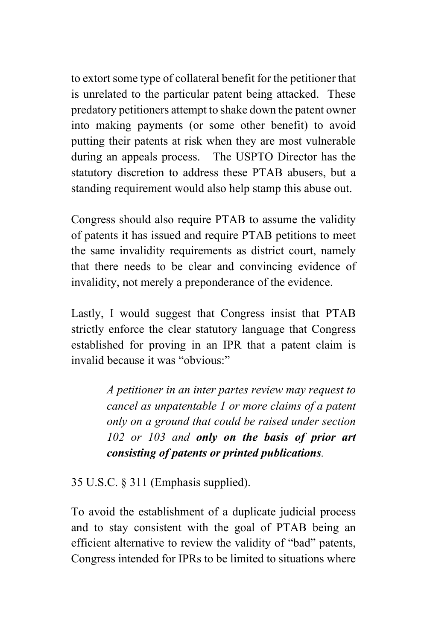to extort some type of collateral benefit for the petitioner that is unrelated to the particular patent being attacked. These predatory petitioners attempt to shake down the patent owner into making payments (or some other benefit) to avoid putting their patents at risk when they are most vulnerable during an appeals process. The USPTO Director has the statutory discretion to address these PTAB abusers, but a standing requirement would also help stamp this abuse out.

Congress should also require PTAB to assume the validity of patents it has issued and require PTAB petitions to meet the same invalidity requirements as district court, namely that there needs to be clear and convincing evidence of invalidity, not merely a preponderance of the evidence.

Lastly, I would suggest that Congress insist that PTAB strictly enforce the clear statutory language that Congress established for proving in an IPR that a patent claim is invalid because it was "obvious:"

> *A petitioner in an inter partes review may request to cancel as unpatentable 1 or more claims of a patent only on a ground that could be raised under section 102 or 103 and only on the basis of prior art consisting of patents or printed publications.*

35 U.S.C. § 311 (Emphasis supplied).

To avoid the establishment of a duplicate judicial process and to stay consistent with the goal of PTAB being an efficient alternative to review the validity of "bad" patents, Congress intended for IPRs to be limited to situations where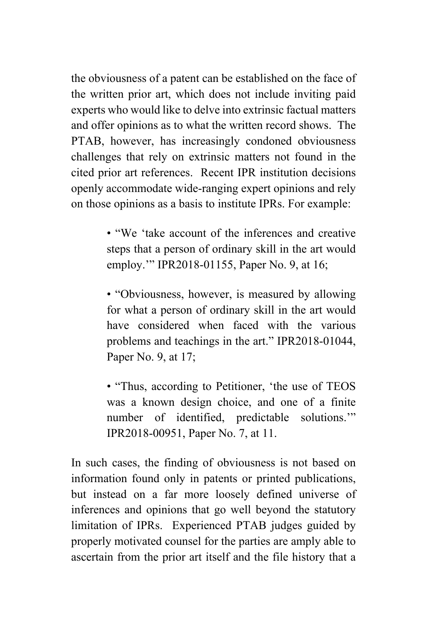the obviousness of a patent can be established on the face of the written prior art, which does not include inviting paid experts who would like to delve into extrinsic factual matters and offer opinions as to what the written record shows. The PTAB, however, has increasingly condoned obviousness challenges that rely on extrinsic matters not found in the cited prior art references. Recent IPR institution decisions openly accommodate wide-ranging expert opinions and rely on those opinions as a basis to institute IPRs. For example:

> • "We 'take account of the inferences and creative steps that a person of ordinary skill in the art would employ."" IPR2018-01155, Paper No. 9, at 16;

> • "Obviousness, however, is measured by allowing for what a person of ordinary skill in the art would have considered when faced with the various problems and teachings in the art." IPR2018-01044, Paper No. 9, at 17;

> • "Thus, according to Petitioner, 'the use of TEOS was a known design choice, and one of a finite number of identified, predictable solutions.'" IPR2018-00951, Paper No. 7, at 11.

In such cases, the finding of obviousness is not based on information found only in patents or printed publications, but instead on a far more loosely defined universe of inferences and opinions that go well beyond the statutory limitation of IPRs. Experienced PTAB judges guided by properly motivated counsel for the parties are amply able to ascertain from the prior art itself and the file history that a